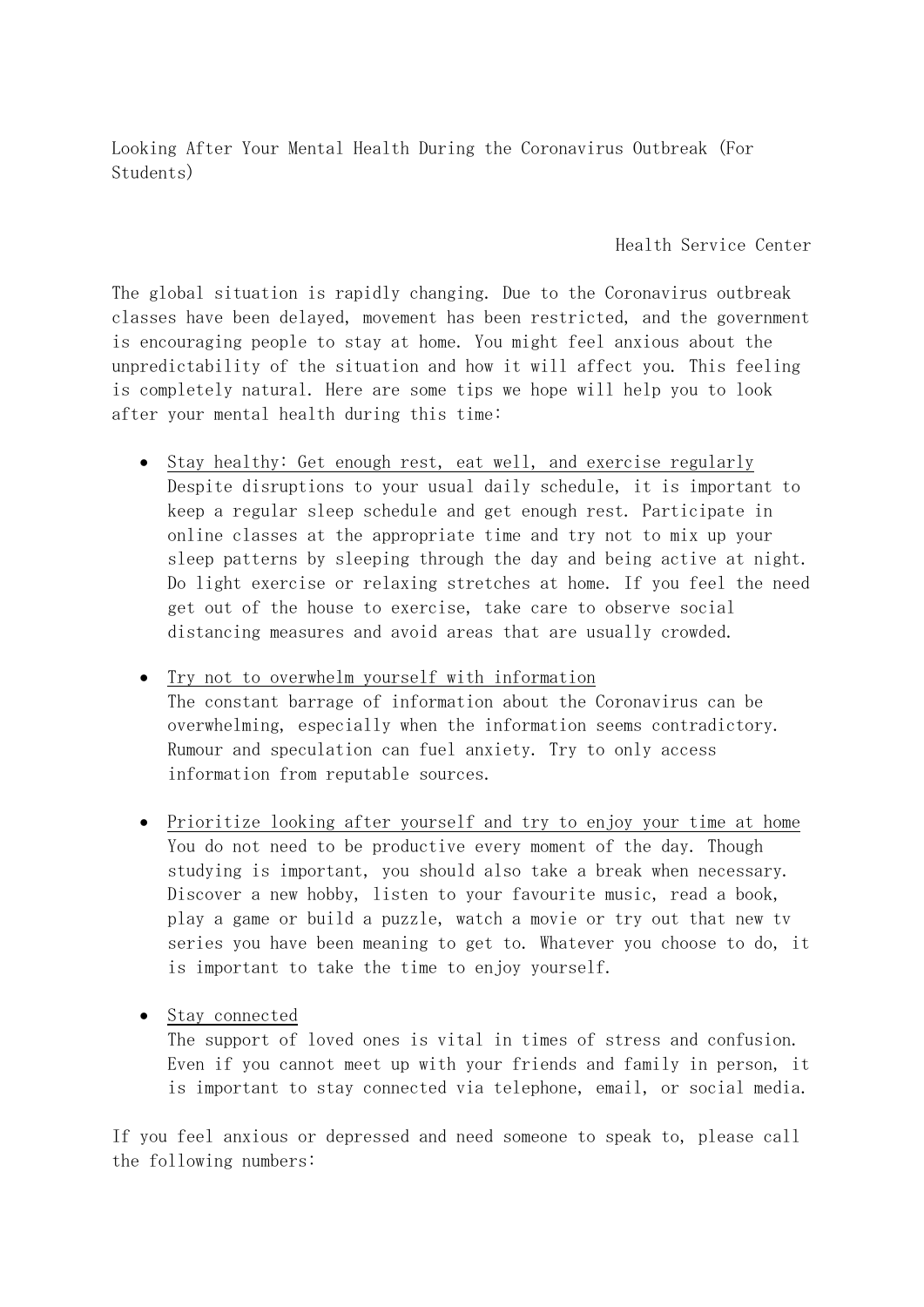Looking After Your Mental Health During the Coronavirus Outbreak (For Students)

Health Service Center

The global situation is rapidly changing. Due to the Coronavirus outbreak classes have been delayed, movement has been restricted, and the government is encouraging people to stay at home. You might feel anxious about the unpredictability of the situation and how it will affect you. This feeling is completely natural. Here are some tips we hope will help you to look after your mental health during this time:

- Stay healthy: Get enough rest, eat well, and exercise regularly Despite disruptions to your usual daily schedule, it is important to keep a regular sleep schedule and get enough rest. Participate in online classes at the appropriate time and try not to mix up your sleep patterns by sleeping through the day and being active at night. Do light exercise or relaxing stretches at home. If you feel the need get out of the house to exercise, take care to observe social distancing measures and avoid areas that are usually crowded.
- Try not to overwhelm yourself with information The constant barrage of information about the Coronavirus can be overwhelming, especially when the information seems contradictory. Rumour and speculation can fuel anxiety. Try to only access information from reputable sources.
- Prioritize looking after yourself and try to enjoy your time at home You do not need to be productive every moment of the day. Though studying is important, you should also take a break when necessary. Discover a new hobby, listen to your favourite music, read a book, play a game or build a puzzle, watch a movie or try out that new tv series you have been meaning to get to. Whatever you choose to do, it is important to take the time to enjoy yourself.
- Stay connected

The support of loved ones is vital in times of stress and confusion. Even if you cannot meet up with your friends and family in person, it is important to stay connected via telephone, email, or social media.

If you feel anxious or depressed and need someone to speak to, please call the following numbers: